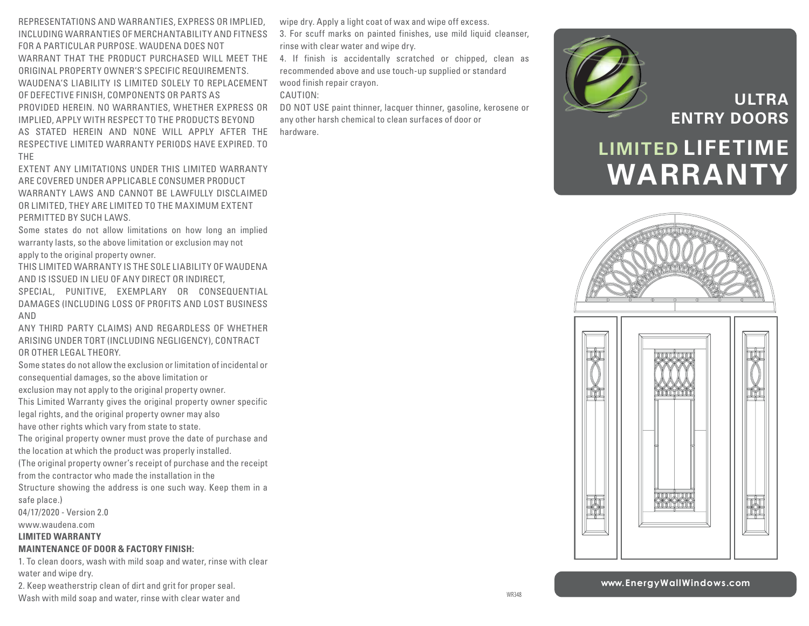REPRESENTATIONS AND WARRANTIES, EXPRESS OR IMPLIED, INCLUDING WARRANTIES OF MERCHANTABILITY AND FITNESS FOR A PARTICULAR PURPOSE. WAUDENA DOES NOT WARRANT THAT THE PRODUCT PURCHASED WILL MEET THE ORIGINAL PROPERTY OWNER'S SPECIFIC REQUIREMENTS. WAUDENA'S LIABILITY IS LIMITED SOLELY TO REPLACEMENT OF DEFECTIVE FINISH, COMPONENTS OR PARTS AS PROVIDED HEREIN. NO WARRANTIES, WHETHER EXPRESS OR IMPLIED, APPLY WITH RESPECT TO THE PRODUCTS BEYOND AS STATED HEREIN AND NONE WILL APPLY AFTER THE RESPECTIVE LIMITED WARRANTY PERIODS HAVE EXPIRED. TO THE

EXTENT ANY LIMITATIONS UNDER THIS LIMITED WARRANTY ARE COVERED UNDER APPLICABLE CONSUMER PRODUCT WARRANTY LAWS AND CANNOT BE LAWFULLY DISCLAIMED OR LIMITED, THEY ARE LIMITED TO THE MAXIMUM EXTENT PERMITTED BY SUCH LAWS.

Some states do not allow limitations on how long an implied warranty lasts, so the above limitation or exclusion may not apply to the original property owner.

THIS LIMITED WARRANTY IS THE SOLE LIABILITY OF WAUDENA AND IS ISSUED IN LIEU OF ANY DIRECT OR INDIRECT,

SPECIAL, PUNITIVE, EXEMPLARY OR CONSEQUENTIAL DAMAGES (INCLUDING LOSS OF PROFITS AND LOST BUSINESS AND

ANY THIRD PARTY CLAIMS) AND REGARDLESS OF WHETHER ARISING UNDER TORT (INCLUDING NEGLIGENCY), CONTRACT OR OTHER LEGAL THEORY.

Some states do not allow the exclusion or limitation of incidental or consequential damages, so the above limitation or

exclusion may not apply to the original property owner.

This Limited Warranty gives the original property owner specific legal rights, and the original property owner may also

have other rights which vary from state to state.

The original property owner must prove the date of purchase and the location at which the product was properly installed.

(The original property owner's receipt of purchase and the receipt from the contractor who made the installation in the

Structure showing the address is one such way. Keep them in a safe place.)

04/17/2020 - Version 2.0

www.waudena.com

**LIMITED WARRANTY**

### **MAINTENANCE OF DOOR & FACTORY FINISH:**

1. To clean doors, wash with mild soap and water, rinse with clear water and wipe dry.

2. Keep weatherstrip clean of dirt and grit for proper seal.

Wash with mild soap and water, rinse with clear water and

wipe dry. Apply a light coat of wax and wipe off excess.

3. For scuff marks on painted finishes, use mild liquid cleanser, rinse with clear water and wipe dry.

4. If finish is accidentally scratched or chipped, clean as recommended above and use touch-up supplied or standard wood finish repair crayon.

CAUTION:

DO NOT USE paint thinner, lacquer thinner, gasoline, kerosene or any other harsh chemical to clean surfaces of door or hardware.



**ULTRA ENTRY DOORS**

## **LIMITED LIFETIME WARRANTY**